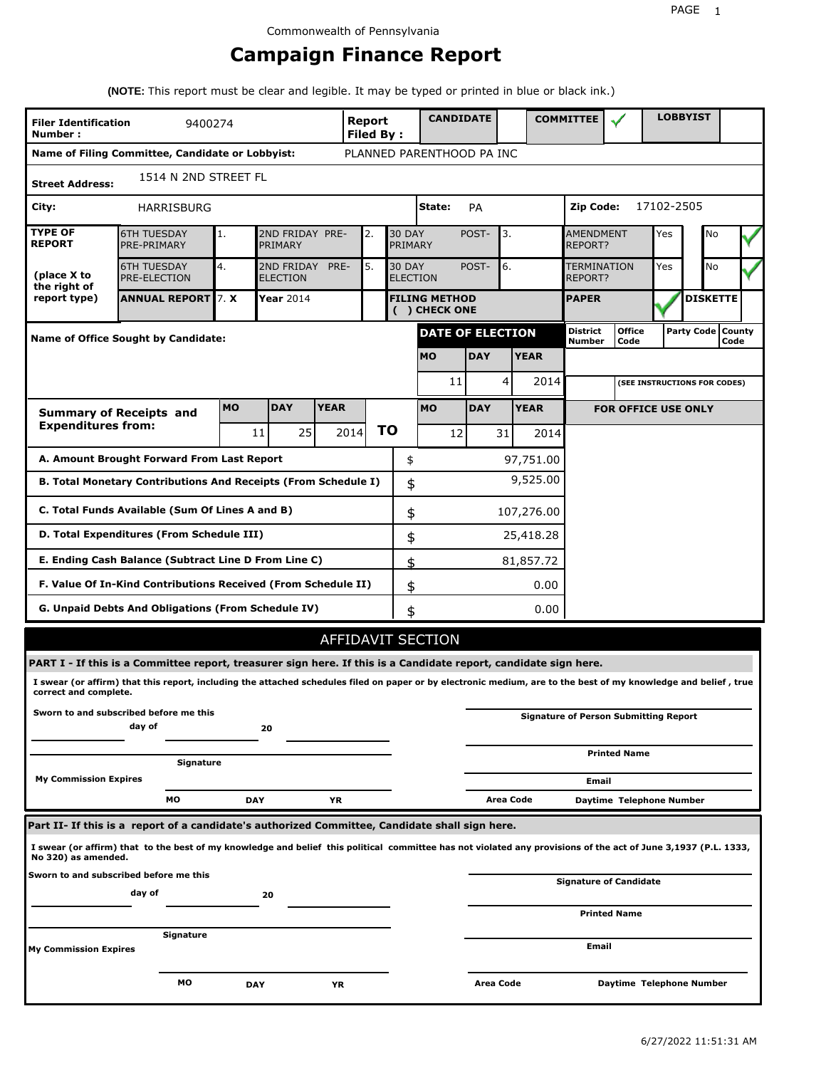## **Campaign Finance Report**

**(NOTE:** This report must be clear and legible. It may be typed or printed in blue or black ink.)

| <b>Filer Identification</b><br>Number: | 9400274                                                                                                                                                         |           |                               |             | <b>Report</b><br>Filed By: |                                  | <b>CANDIDATE</b>                     |                  |             | <b>COMMITTEE</b>                   |                                              |            | <b>LOBBYIST</b>              |                             |
|----------------------------------------|-----------------------------------------------------------------------------------------------------------------------------------------------------------------|-----------|-------------------------------|-------------|----------------------------|----------------------------------|--------------------------------------|------------------|-------------|------------------------------------|----------------------------------------------|------------|------------------------------|-----------------------------|
|                                        | Name of Filing Committee, Candidate or Lobbyist:                                                                                                                |           |                               |             |                            |                                  | PLANNED PARENTHOOD PA INC            |                  |             |                                    |                                              |            |                              |                             |
| <b>Street Address:</b>                 | 1514 N 2ND STREET FL                                                                                                                                            |           |                               |             |                            |                                  |                                      |                  |             |                                    |                                              |            |                              |                             |
| City:                                  | HARRISBURG                                                                                                                                                      |           |                               |             |                            |                                  | State:                               | <b>PA</b>        |             | Zip Code:                          |                                              | 17102-2505 |                              |                             |
| <b>TYPE OF</b><br><b>REPORT</b>        | <b>6TH TUESDAY</b><br>PRE-PRIMARY                                                                                                                               | 1.        | 2ND FRIDAY PRE-<br>PRIMARY    |             | 2.                         | <b>30 DAY</b><br>PRIMARY         |                                      | POST-            | 3.          | <b>AMENDMENT</b><br><b>REPORT?</b> |                                              | Yes        | No                           |                             |
| (place X to<br>the right of            | <b>6TH TUESDAY</b><br><b>PRE-ELECTION</b>                                                                                                                       | 4.        | 2ND FRIDAY<br><b>ELECTION</b> | PRE-        | 5.                         | <b>30 DAY</b><br><b>ELECTION</b> |                                      | POST-            | 6.          | TERMINATION<br>REPORT?             |                                              | Yes        | No                           |                             |
| report type)                           | <b>ANNUAL REPORT</b> 7. X                                                                                                                                       |           | Year 2014                     |             |                            |                                  | <b>FILING METHOD</b><br>() CHECK ONE |                  |             | <b>PAPER</b>                       |                                              |            | <b>DISKETTE</b>              |                             |
|                                        | Name of Office Sought by Candidate:                                                                                                                             |           |                               |             |                            |                                  | <b>DATE OF ELECTION</b>              |                  |             | <b>District</b><br><b>Number</b>   | <b>Office</b><br>Code                        |            |                              | Party Code   County<br>Code |
|                                        |                                                                                                                                                                 |           |                               |             |                            |                                  | <b>MO</b>                            | <b>DAY</b>       | <b>YEAR</b> |                                    |                                              |            |                              |                             |
|                                        |                                                                                                                                                                 |           |                               |             |                            |                                  | 11                                   |                  | 4<br>2014   |                                    |                                              |            | (SEE INSTRUCTIONS FOR CODES) |                             |
|                                        | <b>Summary of Receipts and</b>                                                                                                                                  | <b>MO</b> | <b>DAY</b>                    | <b>YEAR</b> |                            |                                  | <b>MO</b>                            | <b>DAY</b>       | <b>YEAR</b> |                                    | <b>FOR OFFICE USE ONLY</b>                   |            |                              |                             |
| <b>Expenditures from:</b>              |                                                                                                                                                                 |           | 25 <sub>1</sub><br>11         |             | 2014                       | ΤO                               | 12                                   | 31               | 2014        |                                    |                                              |            |                              |                             |
|                                        | A. Amount Brought Forward From Last Report                                                                                                                      |           |                               |             |                            | \$                               |                                      |                  | 97,751.00   |                                    |                                              |            |                              |                             |
|                                        | B. Total Monetary Contributions And Receipts (From Schedule I)                                                                                                  |           |                               |             |                            | \$                               |                                      |                  | 9,525.00    |                                    |                                              |            |                              |                             |
|                                        | C. Total Funds Available (Sum Of Lines A and B)                                                                                                                 |           |                               |             |                            | \$                               |                                      |                  | 107,276.00  |                                    |                                              |            |                              |                             |
|                                        | D. Total Expenditures (From Schedule III)                                                                                                                       |           |                               |             |                            | \$                               |                                      |                  | 25,418.28   |                                    |                                              |            |                              |                             |
|                                        | E. Ending Cash Balance (Subtract Line D From Line C)                                                                                                            |           |                               |             |                            | \$                               |                                      |                  | 81,857.72   |                                    |                                              |            |                              |                             |
|                                        | F. Value Of In-Kind Contributions Received (From Schedule II)                                                                                                   |           |                               |             |                            | \$                               |                                      |                  | 0.00        |                                    |                                              |            |                              |                             |
|                                        | <b>G. Unpaid Debts And Obligations (From Schedule IV)</b>                                                                                                       |           |                               |             |                            | \$                               |                                      |                  | 0.00        |                                    |                                              |            |                              |                             |
|                                        |                                                                                                                                                                 |           |                               |             |                            |                                  | AFFIDAVIT SECTION                    |                  |             |                                    |                                              |            |                              |                             |
|                                        | PART I - If this is a Committee report, treasurer sign here. If this is a Candidate report, candidate sign here.                                                |           |                               |             |                            |                                  |                                      |                  |             |                                    |                                              |            |                              |                             |
| correct and complete.                  | I swear (or affirm) that this report, including the attached schedules filed on paper or by electronic medium, are to the best of my knowledge and belief, true |           |                               |             |                            |                                  |                                      |                  |             |                                    |                                              |            |                              |                             |
|                                        | Sworn to and subscribed before me this<br>day of                                                                                                                |           | 20                            |             |                            |                                  |                                      |                  |             |                                    | <b>Signature of Person Submitting Report</b> |            |                              |                             |
|                                        | Signature                                                                                                                                                       |           |                               |             |                            |                                  |                                      |                  |             |                                    | <b>Printed Name</b>                          |            |                              |                             |
| <b>My Commission Expires</b>           |                                                                                                                                                                 |           |                               |             |                            |                                  |                                      |                  |             | Email                              |                                              |            |                              |                             |
|                                        | МO                                                                                                                                                              |           | <b>DAY</b>                    | YR          |                            |                                  |                                      |                  | Area Code   |                                    | Daytime Telephone Number                     |            |                              |                             |
|                                        | Part II- If this is a report of a candidate's authorized Committee, Candidate shall sign here.                                                                  |           |                               |             |                            |                                  |                                      |                  |             |                                    |                                              |            |                              |                             |
| No 320) as amended.                    | I swear (or affirm) that to the best of my knowledge and belief this political committee has not violated any provisions of the act of June 3,1937 (P.L. 1333,  |           |                               |             |                            |                                  |                                      |                  |             |                                    |                                              |            |                              |                             |
|                                        | Sworn to and subscribed before me this<br>day of                                                                                                                |           | 20                            |             |                            |                                  |                                      |                  |             |                                    | <b>Signature of Candidate</b>                |            |                              |                             |
|                                        |                                                                                                                                                                 |           |                               |             |                            |                                  |                                      |                  |             |                                    | <b>Printed Name</b>                          |            |                              |                             |
| My Commission Expires                  | Signature                                                                                                                                                       |           |                               |             |                            |                                  |                                      |                  |             | Email                              |                                              |            |                              |                             |
|                                        | МO                                                                                                                                                              |           | <b>DAY</b>                    | ΥR          |                            |                                  |                                      | <b>Area Code</b> |             |                                    | Daytime Telephone Number                     |            |                              |                             |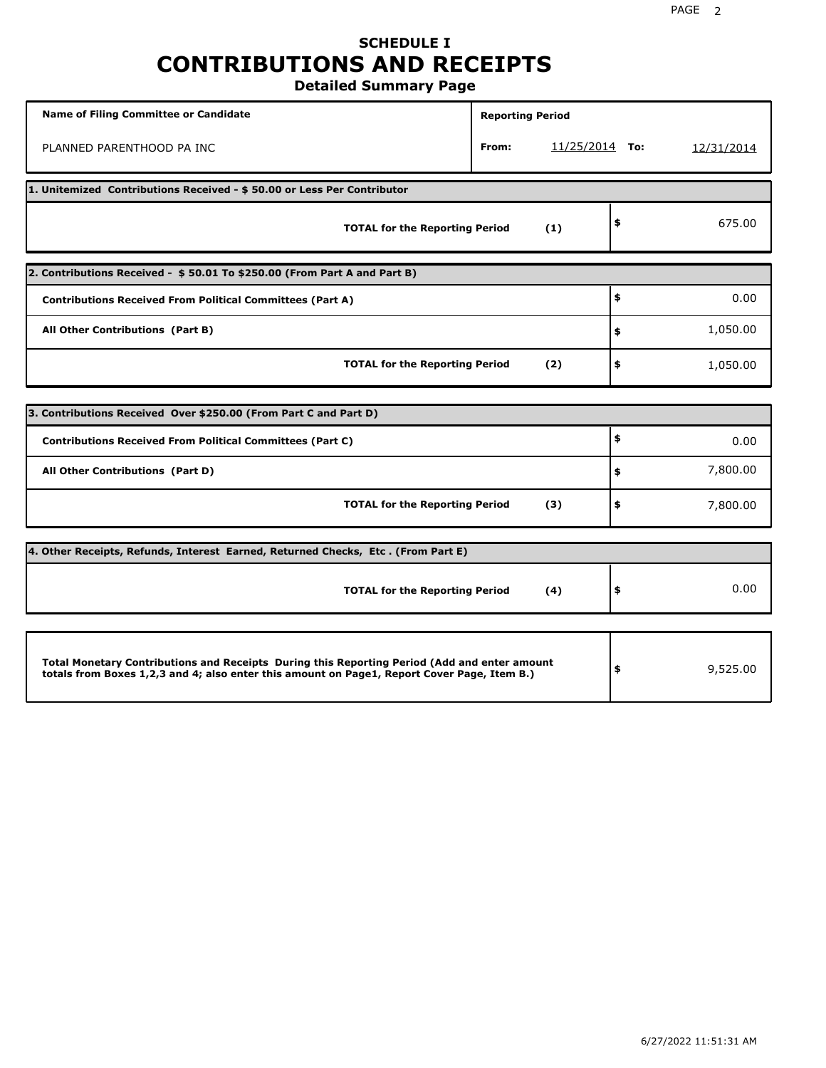## **SCHEDULE I CONTRIBUTIONS AND RECEIPTS**

**Detailed Summary Page**

| <b>Name of Filing Committee or Candidate</b>                                                                                                                                                | <b>Reporting Period</b> |                |                |
|---------------------------------------------------------------------------------------------------------------------------------------------------------------------------------------------|-------------------------|----------------|----------------|
| PLANNED PARENTHOOD PA INC                                                                                                                                                                   | From:                   | 11/25/2014 To: | 12/31/2014     |
| 1. Unitemized Contributions Received - \$50.00 or Less Per Contributor                                                                                                                      |                         |                |                |
| <b>TOTAL for the Reporting Period</b>                                                                                                                                                       |                         | (1)            | \$<br>675.00   |
| 2. Contributions Received - \$50.01 To \$250.00 (From Part A and Part B)                                                                                                                    |                         |                |                |
| <b>Contributions Received From Political Committees (Part A)</b>                                                                                                                            |                         |                | \$<br>0.00     |
| All Other Contributions (Part B)                                                                                                                                                            |                         |                | \$<br>1,050.00 |
| <b>TOTAL for the Reporting Period</b>                                                                                                                                                       |                         | (2)            | \$<br>1,050.00 |
|                                                                                                                                                                                             |                         |                |                |
| 3. Contributions Received Over \$250.00 (From Part C and Part D)                                                                                                                            |                         |                | \$             |
| <b>Contributions Received From Political Committees (Part C)</b>                                                                                                                            |                         |                | 0.00           |
| All Other Contributions (Part D)                                                                                                                                                            |                         |                | \$<br>7,800.00 |
| <b>TOTAL for the Reporting Period</b>                                                                                                                                                       |                         | (3)            | \$<br>7,800.00 |
| 4. Other Receipts, Refunds, Interest Earned, Returned Checks, Etc. (From Part E)                                                                                                            |                         |                |                |
| <b>TOTAL for the Reporting Period</b>                                                                                                                                                       |                         | (4)            | \$<br>0.00     |
|                                                                                                                                                                                             |                         |                |                |
| Total Monetary Contributions and Receipts During this Reporting Period (Add and enter amount<br>totals from Boxes 1,2,3 and 4; also enter this amount on Page1, Report Cover Page, Item B.) |                         |                | \$<br>9,525.00 |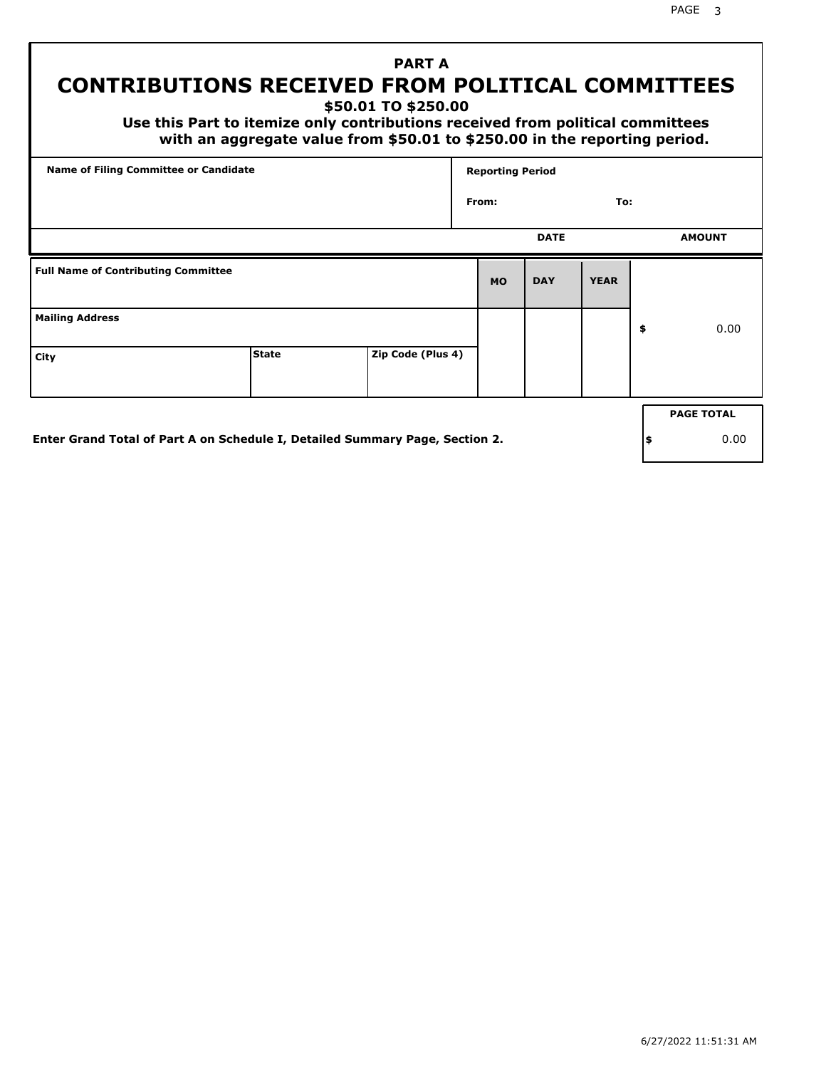# **PART A**

## **CONTRIBUTIONS RECEIVED FROM POLITICAL COMMITTEES**

**\$50.01 TO \$250.00**

 **Use this Part to itemize only contributions received from political committees with an aggregate value from \$50.01 to \$250.00 in the reporting period.**

| Name of Filing Committee or Candidate      |              |                   |           | <b>Reporting Period</b> |             |    |                   |  |  |
|--------------------------------------------|--------------|-------------------|-----------|-------------------------|-------------|----|-------------------|--|--|
|                                            |              |                   | From:     |                         | To:         |    |                   |  |  |
|                                            |              |                   |           | <b>DATE</b>             |             |    | <b>AMOUNT</b>     |  |  |
| <b>Full Name of Contributing Committee</b> |              |                   | <b>MO</b> | <b>DAY</b>              | <b>YEAR</b> |    |                   |  |  |
| <b>Mailing Address</b>                     |              |                   |           |                         |             | \$ | 0.00              |  |  |
| City                                       | <b>State</b> | Zip Code (Plus 4) |           |                         |             |    |                   |  |  |
|                                            |              |                   |           |                         |             |    | <b>PAGE TOTAL</b> |  |  |
|                                            |              |                   |           |                         |             |    |                   |  |  |

**Enter Grand Total of Part A on Schedule I, Detailed Summary Page, Section 2.**

PAGE 3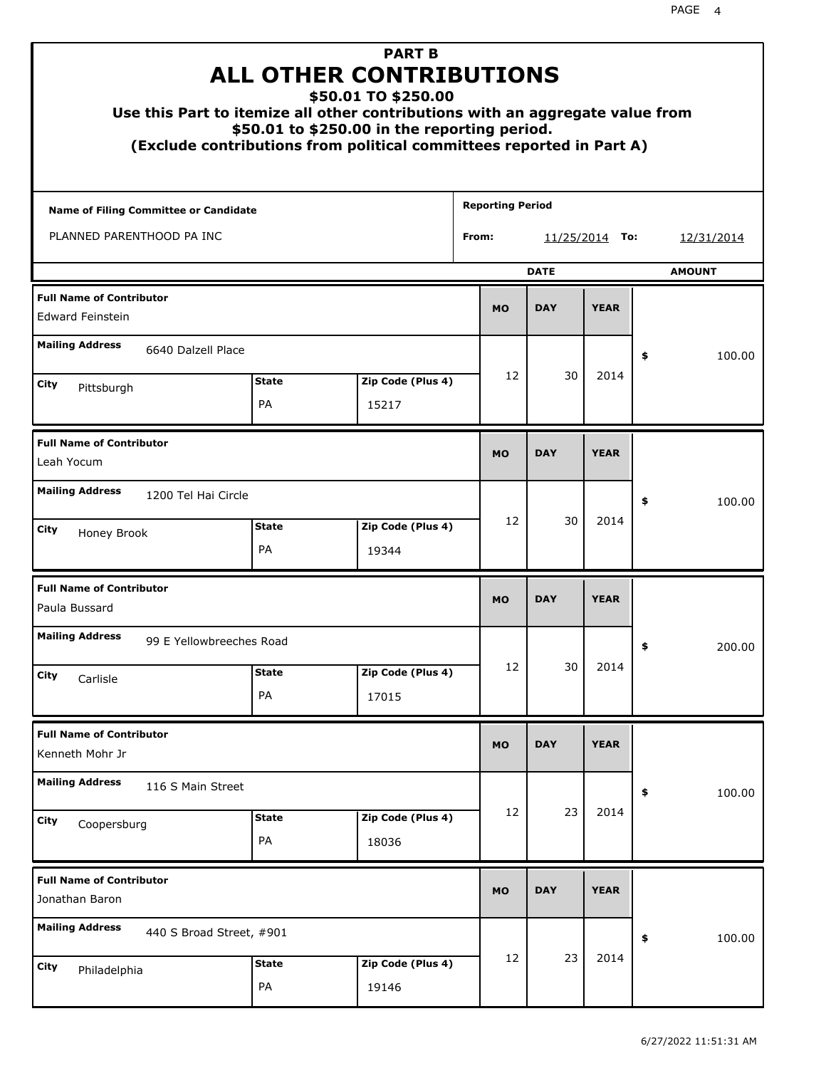| Use this Part to itemize all other contributions with an aggregate value from |                    | <b>PART B</b><br><b>ALL OTHER CONTRIBUTIONS</b><br>\$50.01 TO \$250.00<br>\$50.01 to \$250.00 in the reporting period.<br>(Exclude contributions from political committees reported in Part A) |                         |             |                  |               |
|-------------------------------------------------------------------------------|--------------------|------------------------------------------------------------------------------------------------------------------------------------------------------------------------------------------------|-------------------------|-------------|------------------|---------------|
| Name of Filing Committee or Candidate                                         |                    |                                                                                                                                                                                                | <b>Reporting Period</b> |             |                  |               |
| PLANNED PARENTHOOD PA INC                                                     |                    |                                                                                                                                                                                                | From:                   |             | $11/25/2014$ To: | 12/31/2014    |
|                                                                               |                    |                                                                                                                                                                                                |                         | <b>DATE</b> |                  | <b>AMOUNT</b> |
| <b>Full Name of Contributor</b><br><b>Edward Feinstein</b>                    |                    |                                                                                                                                                                                                | <b>MO</b>               | <b>DAY</b>  | <b>YEAR</b>      |               |
| <b>Mailing Address</b><br>6640 Dalzell Place                                  |                    |                                                                                                                                                                                                |                         |             |                  | \$<br>100.00  |
| City                                                                          | <b>State</b>       | Zip Code (Plus 4)                                                                                                                                                                              | 12                      | 30          | 2014             |               |
| Pittsburgh                                                                    | PA                 | 15217                                                                                                                                                                                          |                         |             |                  |               |
| <b>Full Name of Contributor</b><br>Leah Yocum                                 |                    |                                                                                                                                                                                                | <b>MO</b>               | <b>DAY</b>  | <b>YEAR</b>      |               |
| <b>Mailing Address</b><br>1200 Tel Hai Circle                                 |                    |                                                                                                                                                                                                |                         |             |                  | \$<br>100.00  |
| City<br>Honey Brook                                                           | <b>State</b><br>PA | Zip Code (Plus 4)<br>19344                                                                                                                                                                     | 12                      | 30          | 2014             |               |
| <b>Full Name of Contributor</b><br>Paula Bussard                              |                    |                                                                                                                                                                                                | <b>MO</b>               | <b>DAY</b>  | <b>YEAR</b>      |               |
| <b>Mailing Address</b><br>99 E Yellowbreeches Road                            |                    |                                                                                                                                                                                                |                         |             |                  | 200.00<br>≯   |
| City<br>Carlisle                                                              | <b>State</b>       | Zip Code (Plus 4)                                                                                                                                                                              | 12                      | 30          | 2014             |               |
|                                                                               | PA                 | 17015                                                                                                                                                                                          |                         |             |                  |               |
| <b>Full Name of Contributor</b><br>Kenneth Mohr Jr                            |                    |                                                                                                                                                                                                | <b>MO</b>               | <b>DAY</b>  | <b>YEAR</b>      |               |
| <b>Mailing Address</b><br>116 S Main Street                                   |                    |                                                                                                                                                                                                |                         |             |                  | \$<br>100.00  |
| City<br>Coopersburg                                                           | <b>State</b><br>PA | Zip Code (Plus 4)<br>18036                                                                                                                                                                     | 12                      | 23          | 2014             |               |
| <b>Full Name of Contributor</b><br>Jonathan Baron                             |                    |                                                                                                                                                                                                | <b>MO</b>               | <b>DAY</b>  | <b>YEAR</b>      |               |
| <b>Mailing Address</b><br>440 S Broad Street, #901                            |                    |                                                                                                                                                                                                |                         |             |                  | \$<br>100.00  |
| City<br>Philadelphia                                                          | <b>State</b><br>PA | Zip Code (Plus 4)<br>19146                                                                                                                                                                     | 12                      | 23          | 2014             |               |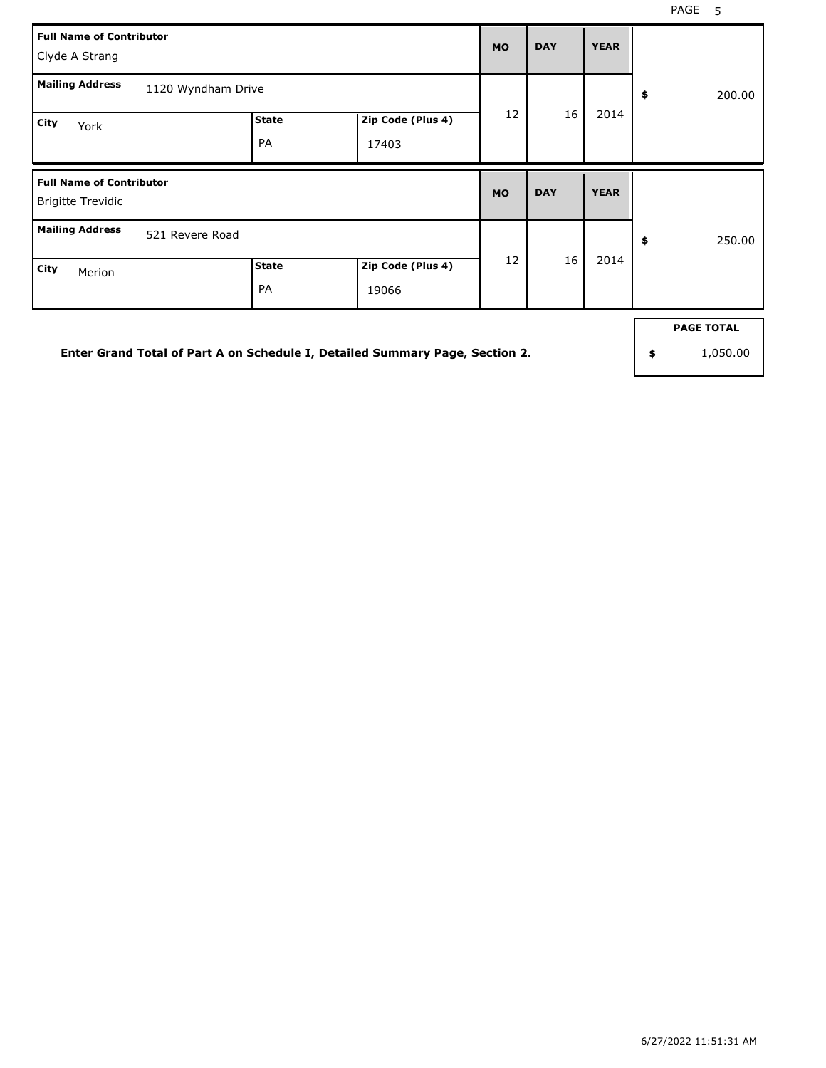٦

| <b>Full Name of Contributor</b><br>Clyde A Strang           |                    | <b>MO</b> | <b>DAY</b> | <b>YEAR</b> |              |              |  |
|-------------------------------------------------------------|--------------------|-----------|------------|-------------|--------------|--------------|--|
| <b>Mailing Address</b>                                      | 1120 Wyndham Drive |           |            |             | \$<br>200.00 |              |  |
| City<br>York                                                | <b>State</b><br>PA | 12        | 16         | 2014        |              |              |  |
|                                                             |                    |           |            |             |              |              |  |
| <b>Full Name of Contributor</b><br><b>Brigitte Trevidic</b> |                    |           | <b>MO</b>  | <b>DAY</b>  | <b>YEAR</b>  |              |  |
| <b>Mailing Address</b><br>521 Revere Road                   |                    |           | 12         | 16          | 2014         | \$<br>250.00 |  |

**Enter Grand Total of Part A on Schedule I, Detailed Summary Page, Section 2.**

**PAGE TOTAL**

**\$** 1,050.00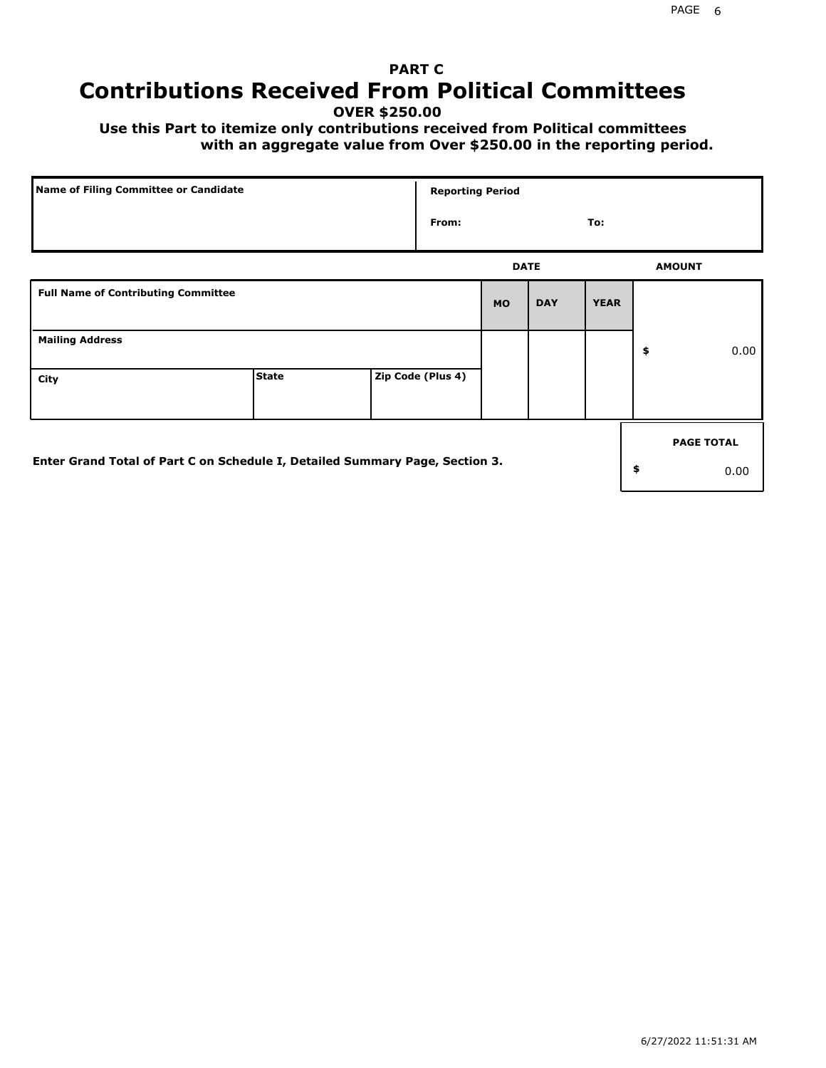## **PART C Contributions Received From Political Committees**

**OVER \$250.00**

 **Use this Part to itemize only contributions received from Political committees with an aggregate value from Over \$250.00 in the reporting period.**

| Name of Filing Committee or Candidate                                        |              |  | <b>Reporting Period</b> |             |            |             |    |                   |
|------------------------------------------------------------------------------|--------------|--|-------------------------|-------------|------------|-------------|----|-------------------|
|                                                                              |              |  | From:                   |             |            | To:         |    |                   |
|                                                                              |              |  |                         | <b>DATE</b> |            |             |    | <b>AMOUNT</b>     |
| <b>Full Name of Contributing Committee</b>                                   |              |  |                         | <b>MO</b>   | <b>DAY</b> | <b>YEAR</b> |    |                   |
| <b>Mailing Address</b>                                                       |              |  |                         |             |            |             | \$ | 0.00              |
| City                                                                         | <b>State</b> |  | Zip Code (Plus 4)       |             |            |             |    |                   |
|                                                                              |              |  |                         |             |            |             |    | <b>PAGE TOTAL</b> |
| Enter Grand Total of Part C on Schedule I, Detailed Summary Page, Section 3. |              |  |                         |             |            |             | \$ | 0.00              |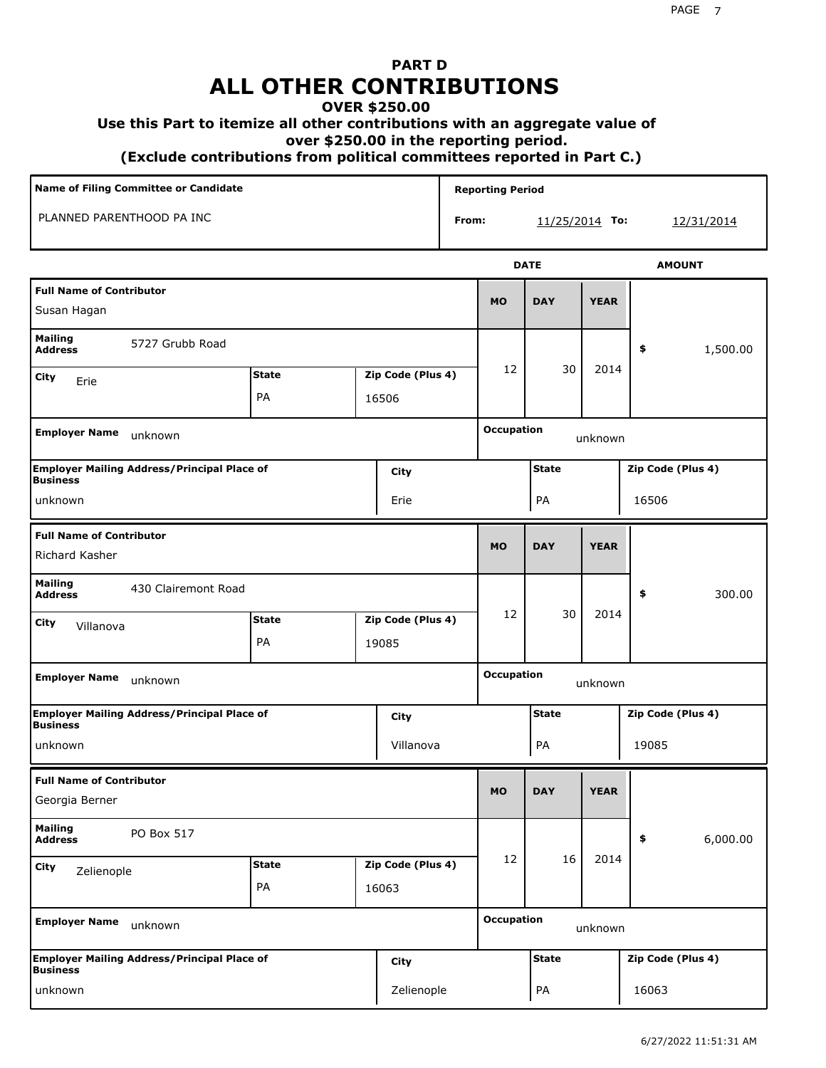## **PART D ALL OTHER CONTRIBUTIONS**

#### **OVER \$250.00**

#### **Use this Part to itemize all other contributions with an aggregate value of**

 **over \$250.00 in the reporting period.**

 **(Exclude contributions from political committees reported in Part C.)** 

| Name of Filing Committee or Candidate                                 |                                   |  |                   |       | <b>Reporting Period</b>      |                  |             |                   |  |  |
|-----------------------------------------------------------------------|-----------------------------------|--|-------------------|-------|------------------------------|------------------|-------------|-------------------|--|--|
| PLANNED PARENTHOOD PA INC                                             |                                   |  |                   | From: |                              | $11/25/2014$ To: |             | 12/31/2014        |  |  |
|                                                                       |                                   |  |                   |       |                              | <b>DATE</b>      |             | <b>AMOUNT</b>     |  |  |
| <b>Full Name of Contributor</b><br>Susan Hagan                        |                                   |  |                   |       | <b>MO</b>                    | <b>DAY</b>       | <b>YEAR</b> |                   |  |  |
| <b>Mailing</b><br>5727 Grubb Road<br><b>Address</b>                   |                                   |  |                   |       |                              |                  |             | 1,500.00<br>\$    |  |  |
| City<br>Erie                                                          | <b>State</b><br>Zip Code (Plus 4) |  |                   | 12    | 30                           | 2014             |             |                   |  |  |
|                                                                       | PA                                |  | 16506             |       |                              |                  |             |                   |  |  |
| <b>Employer Name</b><br>unknown                                       |                                   |  |                   |       | <b>Occupation</b>            |                  | unknown     |                   |  |  |
| <b>Employer Mailing Address/Principal Place of</b><br><b>Business</b> |                                   |  | City              |       |                              | <b>State</b>     |             | Zip Code (Plus 4) |  |  |
| unknown<br>Erie                                                       |                                   |  |                   |       |                              | PA               |             | 16506             |  |  |
| <b>Full Name of Contributor</b><br>Richard Kasher                     |                                   |  |                   |       | <b>MO</b>                    | <b>DAY</b>       | <b>YEAR</b> |                   |  |  |
| <b>Mailing</b><br>430 Clairemont Road<br><b>Address</b>               |                                   |  |                   |       |                              |                  |             | \$<br>300.00      |  |  |
| <b>City</b><br>Villanova                                              | <b>State</b>                      |  | Zip Code (Plus 4) |       | 12                           | 30               | 2014        |                   |  |  |
|                                                                       | PA                                |  | 19085             |       |                              |                  |             |                   |  |  |
| <b>Employer Name</b><br>unknown                                       |                                   |  |                   |       | <b>Occupation</b><br>unknown |                  |             |                   |  |  |
| <b>Employer Mailing Address/Principal Place of</b><br><b>Business</b> |                                   |  | City              |       |                              | <b>State</b>     |             | Zip Code (Plus 4) |  |  |
| unknown                                                               |                                   |  | Villanova         |       |                              | PA               |             | 19085             |  |  |
| <b>Full Name of Contributor</b><br>Georgia Berner                     |                                   |  |                   |       | <b>MO</b>                    | <b>DAY</b>       | <b>YEAR</b> |                   |  |  |
| <b>Mailing</b><br>PO Box 517<br><b>Address</b>                        |                                   |  |                   |       |                              |                  |             | \$<br>6,000.00    |  |  |
| City<br>Zelienople                                                    | <b>State</b>                      |  | Zip Code (Plus 4) |       | 12                           | 16               | 2014        |                   |  |  |
|                                                                       | PA                                |  | 16063             |       |                              |                  |             |                   |  |  |
| <b>Employer Name</b><br>unknown                                       |                                   |  |                   |       | <b>Occupation</b>            |                  | unknown     |                   |  |  |
| <b>Employer Mailing Address/Principal Place of</b><br><b>Business</b> |                                   |  | <b>City</b>       |       |                              | <b>State</b>     |             | Zip Code (Plus 4) |  |  |
| unknown                                                               |                                   |  | Zelienople        |       |                              | PA               |             | 16063             |  |  |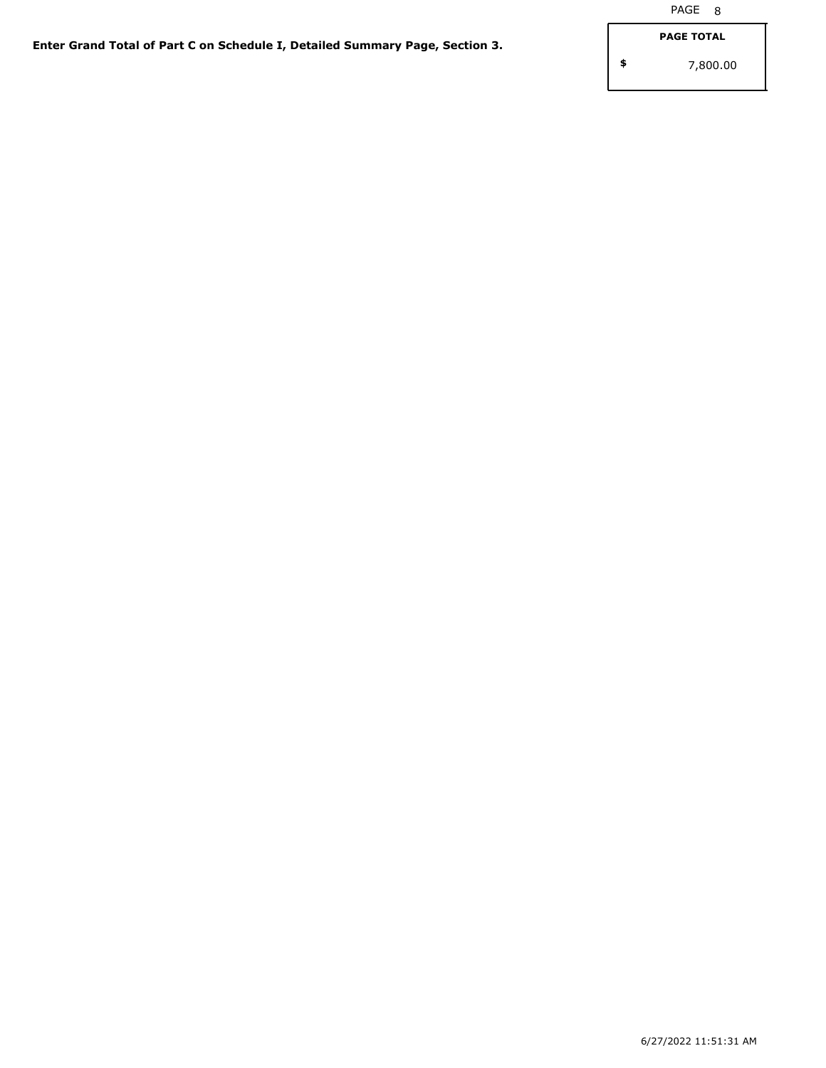**\$** 7,800.00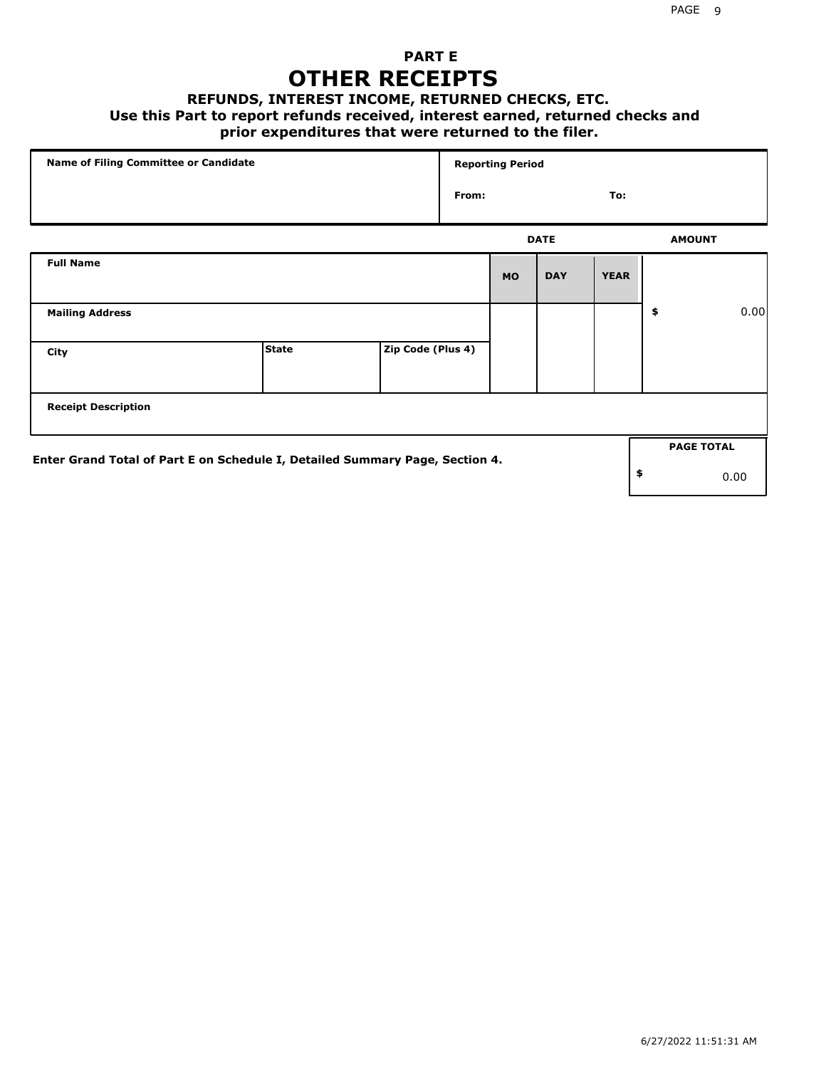### **PART E OTHER RECEIPTS**

#### **REFUNDS, INTEREST INCOME, RETURNED CHECKS, ETC.**

 **Use this Part to report refunds received, interest earned, returned checks and**

#### **prior expenditures that were returned to the filer.**

| Name of Filing Committee or Candidate                                        |              |                   |       | <b>Reporting Period</b> |             |             |    |                   |      |  |
|------------------------------------------------------------------------------|--------------|-------------------|-------|-------------------------|-------------|-------------|----|-------------------|------|--|
|                                                                              |              |                   | From: |                         |             | To:         |    |                   |      |  |
|                                                                              |              |                   |       |                         | <b>DATE</b> |             |    | <b>AMOUNT</b>     |      |  |
| <b>Full Name</b>                                                             |              |                   |       | <b>MO</b>               | <b>DAY</b>  | <b>YEAR</b> |    |                   |      |  |
| <b>Mailing Address</b>                                                       |              |                   |       |                         |             |             | \$ |                   | 0.00 |  |
| City                                                                         | <b>State</b> | Zip Code (Plus 4) |       |                         |             |             |    |                   |      |  |
| <b>Receipt Description</b>                                                   |              |                   |       |                         |             |             |    |                   |      |  |
| Enter Grand Total of Part E on Schedule I, Detailed Summary Page, Section 4. |              |                   |       |                         |             |             |    | <b>PAGE TOTAL</b> |      |  |
|                                                                              |              |                   |       |                         |             |             | \$ |                   | 0.00 |  |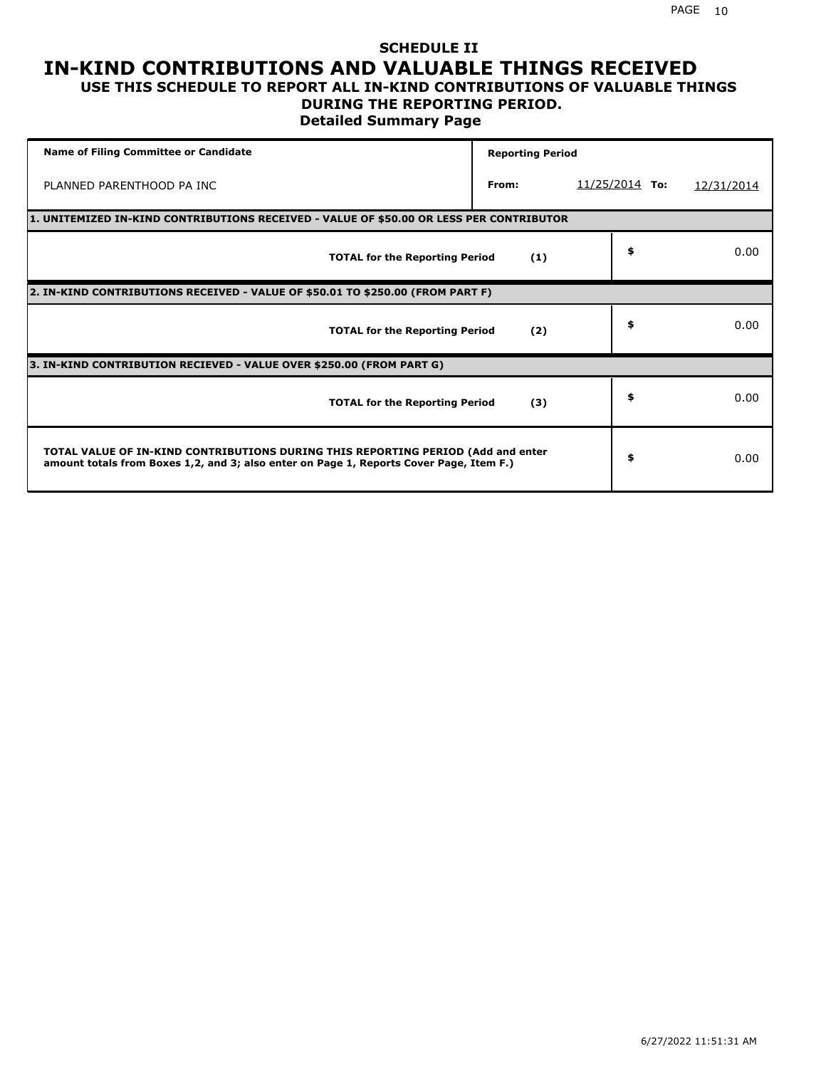#### **SCHEDULE II IN-KIND CONTRIBUTIONS AND VALUABLE THINGS RECEIVED USE THIS SCHEDULE TO REPORT ALL IN-KIND CONTRIBUTIONS OF VALUABLE THINGS**

### **DURING THE REPORTING PERIOD.**

**Detailed Summary Page**

| <b>Name of Filing Committee or Candidate</b>                                                                                                                                | <b>Reporting Period</b> |                  |            |
|-----------------------------------------------------------------------------------------------------------------------------------------------------------------------------|-------------------------|------------------|------------|
| PLANNED PARENTHOOD PA INC                                                                                                                                                   | From:                   | $11/25/2014$ To: | 12/31/2014 |
| 1. UNITEMIZED IN-KIND CONTRIBUTIONS RECEIVED - VALUE OF \$50.00 OR LESS PER CONTRIBUTOR                                                                                     |                         |                  |            |
| <b>TOTAL for the Reporting Period</b>                                                                                                                                       | (1)                     | \$               | 0.00       |
| 2. IN-KIND CONTRIBUTIONS RECEIVED - VALUE OF \$50.01 TO \$250.00 (FROM PART F)                                                                                              |                         |                  |            |
| <b>TOTAL for the Reporting Period</b>                                                                                                                                       | (2)                     | \$               | 0.00       |
| 3. IN-KIND CONTRIBUTION RECIEVED - VALUE OVER \$250.00 (FROM PART G)                                                                                                        |                         |                  |            |
| <b>TOTAL for the Reporting Period</b>                                                                                                                                       | (3)                     | \$               | 0.00       |
| TOTAL VALUE OF IN-KIND CONTRIBUTIONS DURING THIS REPORTING PERIOD (Add and enter<br>amount totals from Boxes 1,2, and 3; also enter on Page 1, Reports Cover Page, Item F.) |                         | \$               | 0.00       |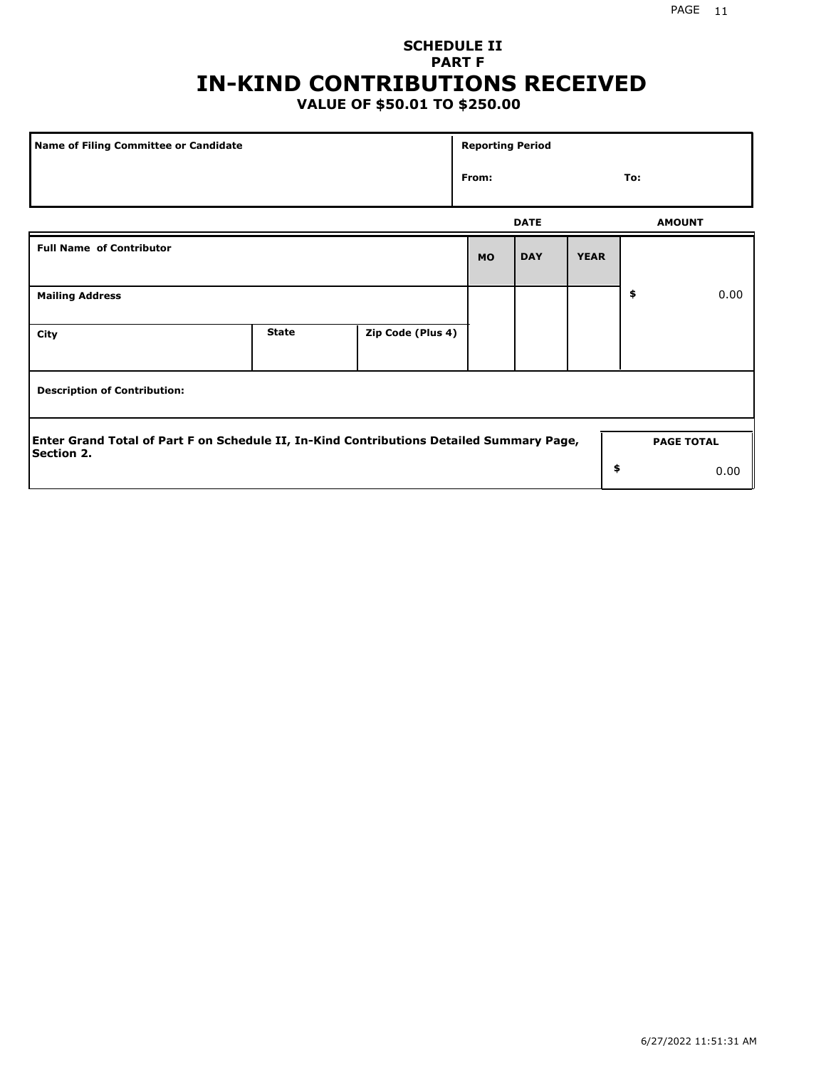## **SCHEDULE II PART F IN-KIND CONTRIBUTIONS RECEIVED**

### **VALUE OF \$50.01 TO \$250.00**

| Name of Filing Committee or Candidate                                                                  | <b>Reporting Period</b> |                   |           |             |             |    |                   |
|--------------------------------------------------------------------------------------------------------|-------------------------|-------------------|-----------|-------------|-------------|----|-------------------|
|                                                                                                        | From:                   |                   |           | To:         |             |    |                   |
|                                                                                                        |                         |                   |           | <b>DATE</b> |             |    | <b>AMOUNT</b>     |
| <b>Full Name of Contributor</b>                                                                        |                         |                   | <b>MO</b> | <b>DAY</b>  | <b>YEAR</b> |    |                   |
| <b>Mailing Address</b>                                                                                 |                         |                   |           |             |             | \$ | 0.00              |
| City                                                                                                   | <b>State</b>            | Zip Code (Plus 4) |           |             |             |    |                   |
| <b>Description of Contribution:</b>                                                                    |                         |                   |           |             |             |    |                   |
| Enter Grand Total of Part F on Schedule II, In-Kind Contributions Detailed Summary Page,<br>Section 2. |                         |                   |           |             |             |    | <b>PAGE TOTAL</b> |
|                                                                                                        |                         |                   |           |             | \$          |    | 0.00              |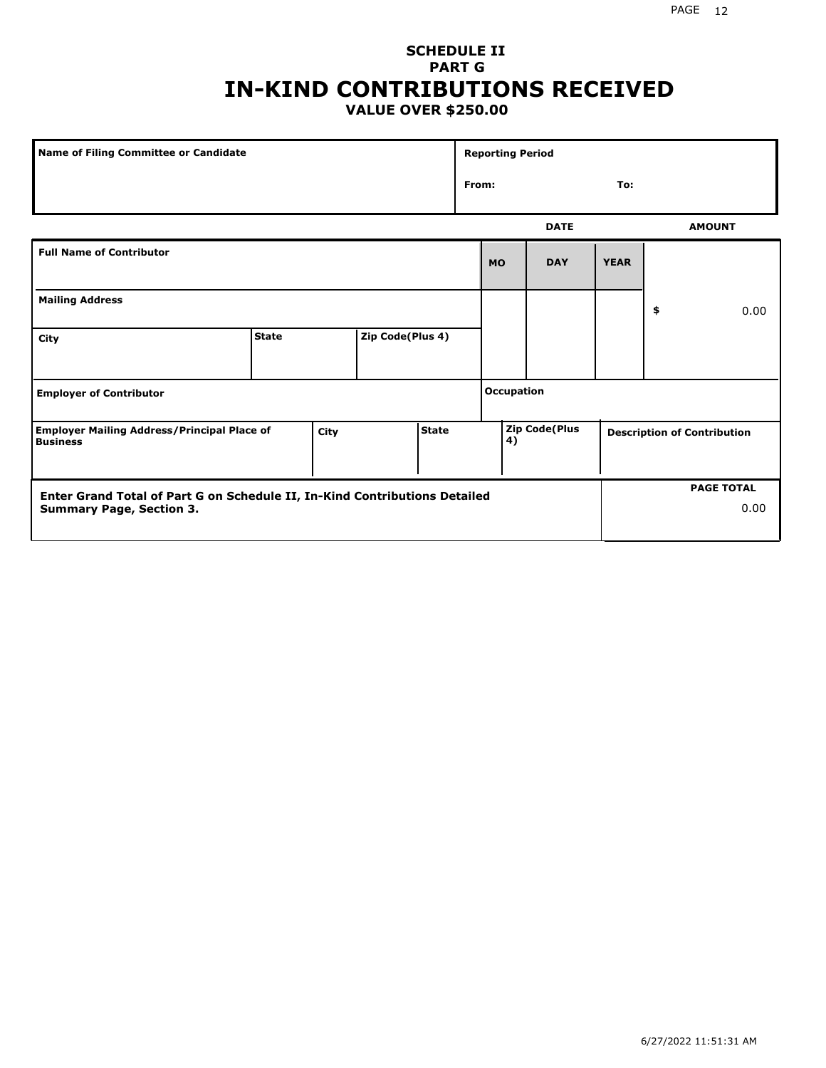#### PAGE 12

#### **SCHEDULE II PART G IN-KIND CONTRIBUTIONS RECEIVED VALUE OVER \$250.00**

| Name of Filing Committee or Candidate                                 |              |      |                  |              | <b>Reporting Period</b> |                   |                      |             |    |                                    |
|-----------------------------------------------------------------------|--------------|------|------------------|--------------|-------------------------|-------------------|----------------------|-------------|----|------------------------------------|
|                                                                       |              |      |                  |              | From:                   |                   |                      | To:         |    |                                    |
|                                                                       |              |      |                  |              |                         |                   | <b>DATE</b>          |             |    | <b>AMOUNT</b>                      |
| <b>Full Name of Contributor</b>                                       |              |      |                  |              |                         | <b>MO</b>         | <b>DAY</b>           | <b>YEAR</b> |    |                                    |
| <b>Mailing Address</b>                                                |              |      |                  |              |                         |                   |                      |             | \$ | 0.00                               |
| City                                                                  | <b>State</b> |      | Zip Code(Plus 4) |              |                         |                   |                      |             |    |                                    |
| <b>Employer of Contributor</b>                                        |              |      |                  |              |                         | <b>Occupation</b> |                      |             |    |                                    |
| <b>Employer Mailing Address/Principal Place of</b><br><b>Business</b> |              | City |                  | <b>State</b> |                         | 4)                | <b>Zip Code(Plus</b> |             |    | <b>Description of Contribution</b> |

| <b>Enter Grand Total of Part G on Schedule II, In-Kind Contributions Detailed</b> | <b>PAGE TOTAL</b> |
|-----------------------------------------------------------------------------------|-------------------|
| <b>Summary Page, Section 3.</b>                                                   | 0.00              |
|                                                                                   |                   |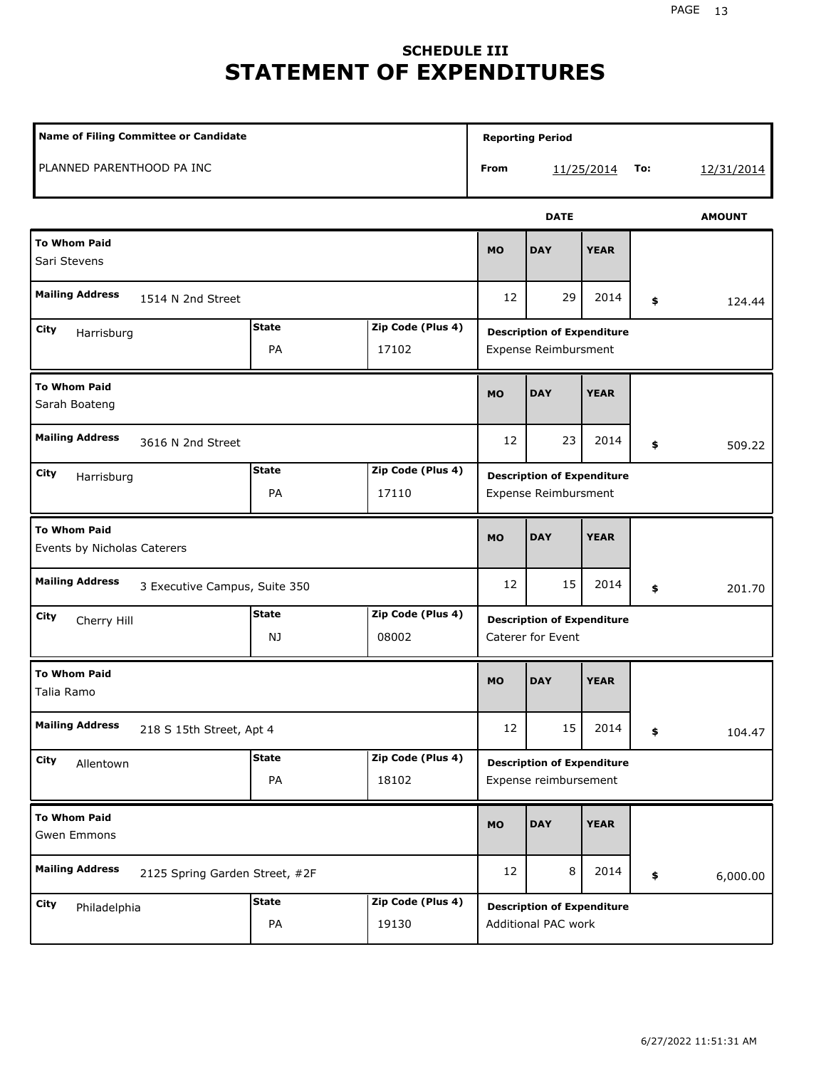## **SCHEDULE III STATEMENT OF EXPENDITURES**

| <b>Name of Filing Committee or Candidate</b>             |                    |                            | <b>Reporting Period</b>                                    |             |             |     |               |
|----------------------------------------------------------|--------------------|----------------------------|------------------------------------------------------------|-------------|-------------|-----|---------------|
| PLANNED PARENTHOOD PA INC                                |                    |                            | From                                                       |             | 11/25/2014  | To: | 12/31/2014    |
|                                                          |                    |                            |                                                            | <b>DATE</b> |             |     | <b>AMOUNT</b> |
| <b>To Whom Paid</b><br>Sari Stevens                      |                    |                            | <b>MO</b>                                                  | <b>DAY</b>  | <b>YEAR</b> |     |               |
| <b>Mailing Address</b><br>1514 N 2nd Street              |                    |                            | 12                                                         | 29          | 2014        | \$  | 124.44        |
| City<br>Harrisburg                                       | <b>State</b><br>PA | Zip Code (Plus 4)<br>17102 | <b>Description of Expenditure</b><br>Expense Reimbursment  |             |             |     |               |
| <b>To Whom Paid</b><br>Sarah Boateng                     |                    |                            | <b>MO</b>                                                  | <b>DAY</b>  | <b>YEAR</b> |     |               |
| <b>Mailing Address</b><br>3616 N 2nd Street              |                    |                            | 12                                                         | 23          | 2014        | \$  | 509.22        |
| City<br>Harrisburg                                       | <b>State</b><br>PA | Zip Code (Plus 4)<br>17110 | <b>Description of Expenditure</b><br>Expense Reimbursment  |             |             |     |               |
| <b>To Whom Paid</b><br>Events by Nicholas Caterers       |                    |                            | <b>MO</b>                                                  | <b>DAY</b>  | <b>YEAR</b> |     |               |
| <b>Mailing Address</b><br>3 Executive Campus, Suite 350  |                    |                            | 12                                                         | 15          | 2014        | \$  | 201.70        |
| City<br>Cherry Hill                                      | <b>State</b><br>NJ | Zip Code (Plus 4)<br>08002 | <b>Description of Expenditure</b><br>Caterer for Event     |             |             |     |               |
| <b>To Whom Paid</b><br>Talia Ramo                        |                    |                            | <b>MO</b>                                                  | <b>DAY</b>  | <b>YEAR</b> |     |               |
| <b>Mailing Address</b><br>218 S 15th Street, Apt 4       |                    |                            | 12                                                         | 15          | 2014        | \$  | 104.47        |
| City<br>Allentown                                        | <b>State</b><br>PA | Zip Code (Plus 4)<br>18102 | <b>Description of Expenditure</b><br>Expense reimbursement |             |             |     |               |
| <b>To Whom Paid</b><br>Gwen Emmons                       |                    |                            | <b>MO</b>                                                  | <b>DAY</b>  | <b>YEAR</b> |     |               |
| <b>Mailing Address</b><br>2125 Spring Garden Street, #2F |                    |                            | 12                                                         | 8           | 2014        | \$  | 6,000.00      |
| City<br>Philadelphia                                     | <b>State</b><br>PA | Zip Code (Plus 4)<br>19130 | <b>Description of Expenditure</b><br>Additional PAC work   |             |             |     |               |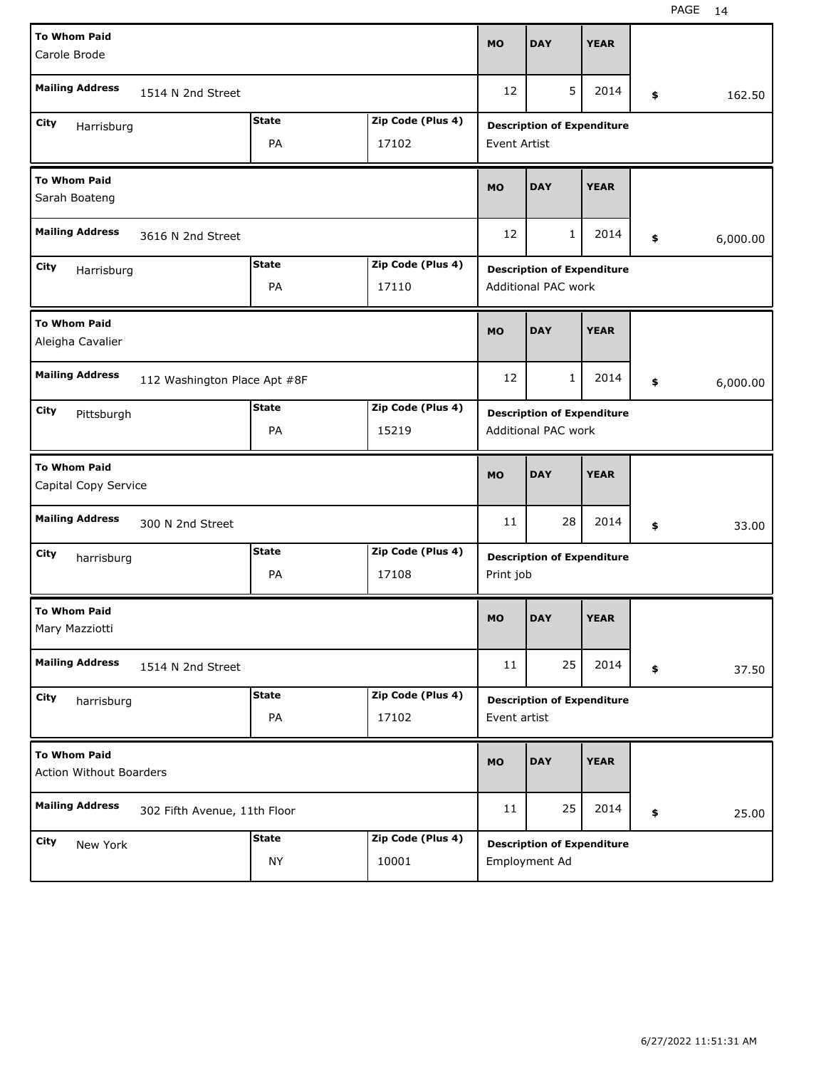| <b>To Whom Paid</b><br>Carole Brode                    |                              |              | <b>MO</b>         | <b>DAY</b>                        | <b>YEAR</b>                       |             |          |       |  |
|--------------------------------------------------------|------------------------------|--------------|-------------------|-----------------------------------|-----------------------------------|-------------|----------|-------|--|
|                                                        |                              |              |                   |                                   |                                   |             |          |       |  |
| <b>Mailing Address</b><br>1514 N 2nd Street            |                              |              | 12                | 5                                 | 2014                              | \$          | 162.50   |       |  |
| City<br>Harrisburg                                     |                              | <b>State</b> | Zip Code (Plus 4) |                                   | <b>Description of Expenditure</b> |             |          |       |  |
|                                                        |                              | PA           | 17102             | <b>Event Artist</b>               |                                   |             |          |       |  |
| <b>To Whom Paid</b>                                    |                              |              |                   | <b>MO</b>                         | <b>DAY</b>                        | <b>YEAR</b> |          |       |  |
| Sarah Boateng                                          |                              |              |                   |                                   |                                   |             |          |       |  |
| <b>Mailing Address</b><br>3616 N 2nd Street            |                              |              | 12                | $\mathbf{1}$                      | 2014                              | \$          | 6,000.00 |       |  |
| City<br>Harrisburg                                     |                              | <b>State</b> | Zip Code (Plus 4) | <b>Description of Expenditure</b> |                                   |             |          |       |  |
|                                                        |                              | PA           | 17110             | Additional PAC work               |                                   |             |          |       |  |
| <b>To Whom Paid</b>                                    |                              |              |                   | <b>MO</b>                         | <b>DAY</b>                        | <b>YEAR</b> |          |       |  |
| Aleigha Cavalier                                       |                              |              |                   |                                   |                                   |             |          |       |  |
| <b>Mailing Address</b><br>112 Washington Place Apt #8F |                              |              | 12                | 1                                 | 2014                              | \$          | 6,000.00 |       |  |
| <b>State</b><br>City<br>Pittsburgh                     |                              |              | Zip Code (Plus 4) | <b>Description of Expenditure</b> |                                   |             |          |       |  |
| PA<br>15219                                            |                              |              |                   | Additional PAC work               |                                   |             |          |       |  |
|                                                        |                              |              |                   |                                   |                                   |             |          |       |  |
| <b>To Whom Paid</b>                                    |                              |              |                   |                                   |                                   |             |          |       |  |
| Capital Copy Service                                   |                              |              |                   | <b>MO</b>                         | <b>DAY</b>                        | <b>YEAR</b> |          |       |  |
| <b>Mailing Address</b>                                 | 300 N 2nd Street             |              |                   | 11                                | 28                                | 2014        | \$       | 33.00 |  |
|                                                        |                              | <b>State</b> | Zip Code (Plus 4) |                                   |                                   |             |          |       |  |
| City<br>harrisburg                                     |                              | PA           | 17108             | Print job                         | <b>Description of Expenditure</b> |             |          |       |  |
| <b>To Whom Paid</b>                                    |                              |              |                   |                                   |                                   |             |          |       |  |
| Mary Mazziotti                                         |                              |              |                   | <b>MO</b>                         | <b>DAY</b>                        | <b>YEAR</b> |          |       |  |
| <b>Mailing Address</b>                                 | 1514 N 2nd Street            |              |                   | 11                                | 25                                | 2014        | \$       | 37.50 |  |
| City                                                   |                              | <b>State</b> | Zip Code (Plus 4) |                                   | <b>Description of Expenditure</b> |             |          |       |  |
| harrisburg                                             |                              | PA           | 17102             | Event artist                      |                                   |             |          |       |  |
| <b>To Whom Paid</b>                                    |                              |              |                   |                                   |                                   |             |          |       |  |
| <b>Action Without Boarders</b>                         |                              |              |                   | <b>MO</b>                         | <b>DAY</b>                        | <b>YEAR</b> |          |       |  |
| <b>Mailing Address</b>                                 | 302 Fifth Avenue, 11th Floor |              |                   | 11                                | 25                                | 2014        | \$       | 25.00 |  |
| City<br>New York                                       |                              | <b>State</b> | Zip Code (Plus 4) |                                   | <b>Description of Expenditure</b> |             |          |       |  |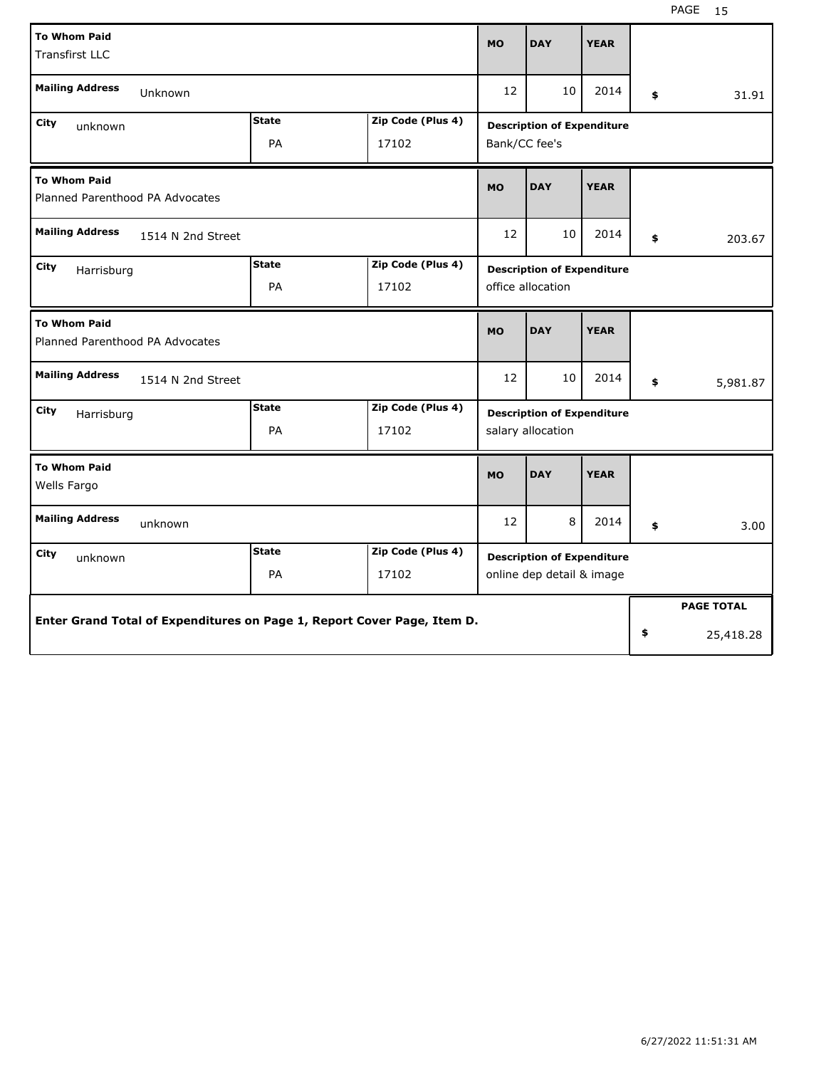| <b>To Whom Paid</b><br><b>Transfirst LLC</b>                            |                                                  |                            | <b>MO</b>                                                      | <b>DAY</b>                                         | <b>YEAR</b> |    |                   |  |
|-------------------------------------------------------------------------|--------------------------------------------------|----------------------------|----------------------------------------------------------------|----------------------------------------------------|-------------|----|-------------------|--|
| <b>Mailing Address</b><br>Unknown                                       |                                                  |                            | 12                                                             | 10                                                 | 2014        | \$ | 31.91             |  |
| City<br>unknown                                                         | <b>State</b><br>Zip Code (Plus 4)<br>PA<br>17102 |                            |                                                                | <b>Description of Expenditure</b><br>Bank/CC fee's |             |    |                   |  |
| <b>To Whom Paid</b><br>Planned Parenthood PA Advocates                  |                                                  |                            | <b>MO</b>                                                      | <b>DAY</b>                                         | <b>YEAR</b> |    |                   |  |
| <b>Mailing Address</b><br>1514 N 2nd Street                             |                                                  |                            | 12                                                             | 10                                                 | 2014        | \$ | 203.67            |  |
| City<br>Harrisburg                                                      | <b>State</b><br>PA                               | Zip Code (Plus 4)<br>17102 | <b>Description of Expenditure</b><br>office allocation         |                                                    |             |    |                   |  |
| <b>To Whom Paid</b><br>Planned Parenthood PA Advocates                  |                                                  |                            | <b>MO</b>                                                      | <b>DAY</b>                                         | <b>YEAR</b> |    |                   |  |
| <b>Mailing Address</b><br>1514 N 2nd Street                             |                                                  |                            | 12                                                             | 10                                                 | 2014        | \$ | 5,981.87          |  |
| City<br>Harrisburg                                                      | <b>State</b><br>PA                               | Zip Code (Plus 4)<br>17102 | <b>Description of Expenditure</b><br>salary allocation         |                                                    |             |    |                   |  |
| <b>To Whom Paid</b><br>Wells Fargo                                      |                                                  |                            | <b>MO</b>                                                      | <b>DAY</b>                                         | <b>YEAR</b> |    |                   |  |
| <b>Mailing Address</b><br>unknown                                       |                                                  |                            | 12                                                             | 8                                                  | 2014        | \$ | 3.00              |  |
| City<br>unknown                                                         | <b>State</b><br>PA                               | Zip Code (Plus 4)<br>17102 | <b>Description of Expenditure</b><br>online dep detail & image |                                                    |             |    |                   |  |
| Enter Grand Total of Expenditures on Page 1, Report Cover Page, Item D. |                                                  |                            |                                                                |                                                    |             |    | <b>PAGE TOTAL</b> |  |
|                                                                         |                                                  |                            |                                                                |                                                    |             | \$ | 25,418.28         |  |